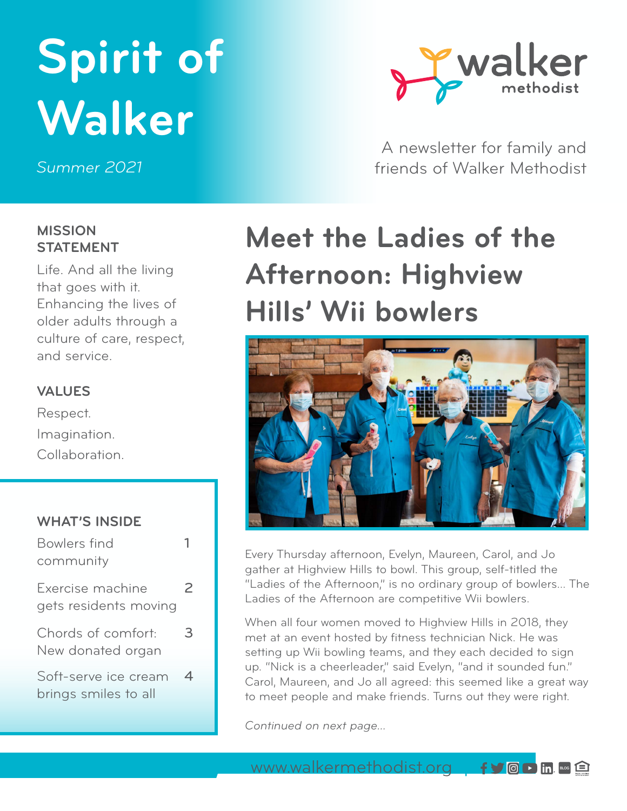# **Spirit of Walker**

*Summer 2021*



A newsletter for family and friends of Walker Methodist

## **MISSION STATEMENT**

Life. And all the living that goes with it. Enhancing the lives of older adults through a culture of care, respect, and service.

## **VALUES**

Respect. Imagination. Collaboration.

### **WHAT'S INSIDE**

| Bowlers find                                 |   |
|----------------------------------------------|---|
| community                                    |   |
| Exercise machine<br>gets residents moving    | 2 |
| Chords of comfort:<br>New donated organ      | З |
| Soft-serve ice cream<br>brings smiles to all | 4 |

## **Meet the Ladies of the Afternoon: Highview Hills' Wii bowlers**



Every Thursday afternoon, Evelyn, Maureen, Carol, and Jo gather at Highview Hills to bowl. This group, self-titled the "Ladies of the Afternoon," is no ordinary group of bowlers… The Ladies of the Afternoon are competitive Wii bowlers.

When all four women moved to Highview Hills in 2018, they met at an event hosted by fitness technician Nick. He was setting up Wii bowling teams, and they each decided to sign up. "Nick is a cheerleader," said Evelyn, "and it sounded fun." Carol, Maureen, and Jo all agreed: this seemed like a great way to meet people and make friends. Turns out they were right.

*Continued on next page...*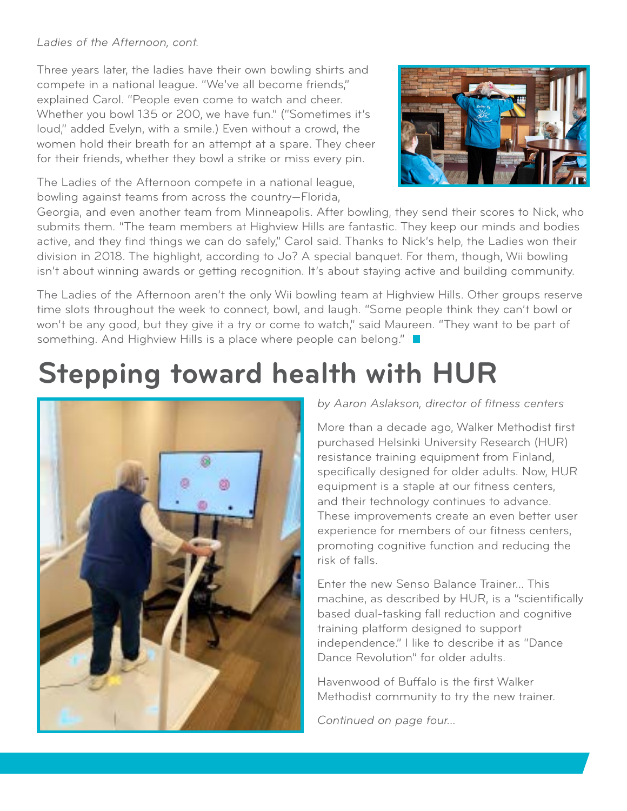### *Ladies of the Afternoon, cont.*

Three years later, the ladies have their own bowling shirts and compete in a national league. "We've all become friends," explained Carol. "People even come to watch and cheer. Whether you bowl 135 or 200, we have fun." ("Sometimes it's loud," added Evelyn, with a smile.) Even without a crowd, the women hold their breath for an attempt at a spare. They cheer for their friends, whether they bowl a strike or miss every pin.

The Ladies of the Afternoon compete in a national league, bowling against teams from across the country—Florida,



Georgia, and even another team from Minneapolis. After bowling, they send their scores to Nick, who submits them. "The team members at Highview Hills are fantastic. They keep our minds and bodies active, and they find things we can do safely," Carol said. Thanks to Nick's help, the Ladies won their division in 2018. The highlight, according to Jo? A special banquet. For them, though, Wii bowling isn't about winning awards or getting recognition. It's about staying active and building community.

The Ladies of the Afternoon aren't the only Wii bowling team at Highview Hills. Other groups reserve time slots throughout the week to connect, bowl, and laugh. "Some people think they can't bowl or won't be any good, but they give it a try or come to watch," said Maureen. "They want to be part of something. And Highview Hills is a place where people can belong."

## **Stepping toward health with HUR**



### *by Aaron Aslakson, director of fitness centers*

More than a decade ago, Walker Methodist first purchased Helsinki University Research (HUR) resistance training equipment from Finland, specifically designed for older adults. Now, HUR equipment is a staple at our fitness centers, and their technology continues to advance. These improvements create an even better user experience for members of our fitness centers, promoting cognitive function and reducing the risk of falls.

Enter the new Senso Balance Trainer... This machine, as described by HUR, is a "scientifically based dual-tasking fall reduction and cognitive training platform designed to support independence." I like to describe it as "Dance Dance Revolution" for older adults.

Havenwood of Buffalo is the first Walker Methodist community to try the new trainer.

*Continued on page four...*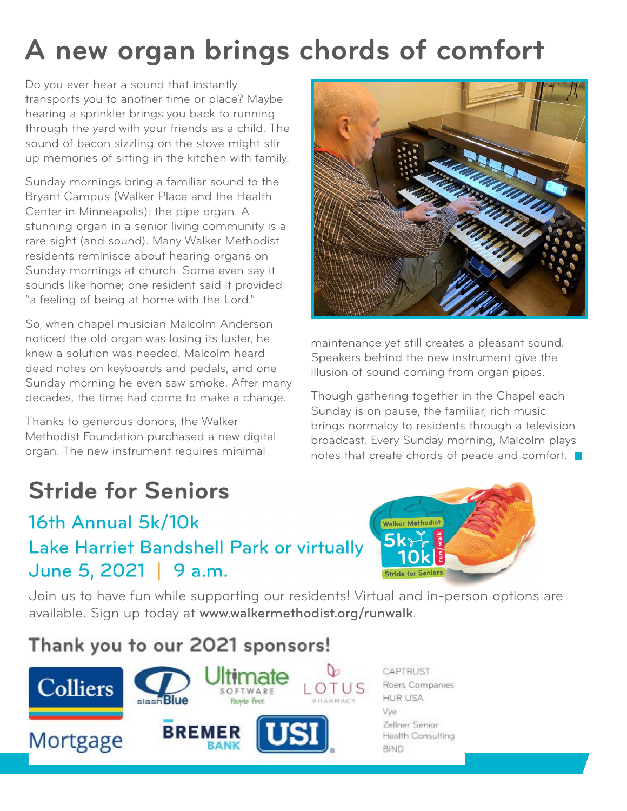## **A new organ brings chords of comfort**

Do you ever hear a sound that instantly transports you to another time or place? Maybe hearing a sprinkler brings you back to running through the yard with your friends as a child. The sound of bacon sizzling on the stove might stir up memories of sitting in the kitchen with family.

Sunday mornings bring a familiar sound to the Bryant Campus (Walker Place and the Health Center in Minneapolis): the pipe organ. A stunning organ in a senior living community is a rare sight (and sound). Many Walker Methodist residents reminisce about hearing organs on Sunday mornings at church. Some even say it sounds like home; one resident said it provided "a feeling of being at home with the Lord."

So, when chapel musician Malcolm Anderson noticed the old organ was losing its luster, he knew a solution was needed. Malcolm heard dead notes on keyboards and pedals, and one Sunday morning he even saw smoke. After many decades, the time had come to make a change.

Thanks to generous donors, the Walker Methodist Foundation purchased a new digital organ. The new instrument requires minimal

## **Stride for Seniors**

## 16th Annual 5k/10k Lake Harriet Bandshell Park or virtually June 5, 2021 | 9 a.m.



maintenance yet still creates a pleasant sound. Speakers behind the new instrument give the illusion of sound coming from organ pipes.

Though gathering together in the Chapel each Sunday is on pause, the familiar, rich music brings normalcy to residents through a television broadcast. Every Sunday morning, Malcolm plays notes that create chords of peace and comfort.



[Join us to have fun while supporting our residents! Virtual and in-person options are](http://www.walkermethodist.org/runwalk)  available. Sign up today at [www.walkermethodist.org/runwalk](http://www.walkermethodist.org/runwalk).

## Thank you to our 2021 sponsors!



CAPTRUST Roers Companies **HUR USA** Vye Zellner Senior Health Consulting **BIND**